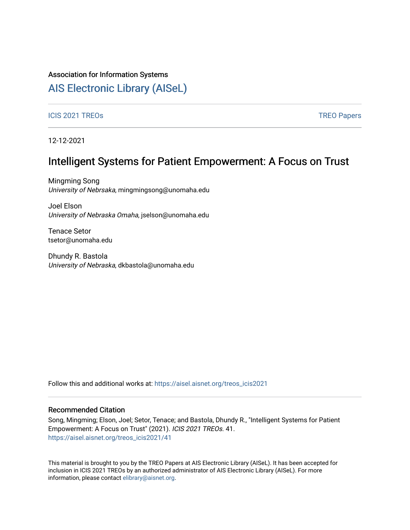#### Association for Information Systems

# [AIS Electronic Library \(AISeL\)](https://aisel.aisnet.org/)

#### ICIS 2021 TREOS Notes that the contract of the contract of the contract of the contract of the contract of the contract of the contract of the contract of the contract of the contract of the contract of the contract of the

12-12-2021

## Intelligent Systems for Patient Empowerment: A Focus on Trust

Mingming Song University of Nebrsaka, mingmingsong@unomaha.edu

Joel Elson University of Nebraska Omaha, jselson@unomaha.edu

Tenace Setor tsetor@unomaha.edu

Dhundy R. Bastola University of Nebraska, dkbastola@unomaha.edu

Follow this and additional works at: [https://aisel.aisnet.org/treos\\_icis2021](https://aisel.aisnet.org/treos_icis2021?utm_source=aisel.aisnet.org%2Ftreos_icis2021%2F41&utm_medium=PDF&utm_campaign=PDFCoverPages) 

#### Recommended Citation

Song, Mingming; Elson, Joel; Setor, Tenace; and Bastola, Dhundy R., "Intelligent Systems for Patient Empowerment: A Focus on Trust" (2021). ICIS 2021 TREOs. 41. [https://aisel.aisnet.org/treos\\_icis2021/41](https://aisel.aisnet.org/treos_icis2021/41?utm_source=aisel.aisnet.org%2Ftreos_icis2021%2F41&utm_medium=PDF&utm_campaign=PDFCoverPages) 

This material is brought to you by the TREO Papers at AIS Electronic Library (AISeL). It has been accepted for inclusion in ICIS 2021 TREOs by an authorized administrator of AIS Electronic Library (AISeL). For more information, please contact [elibrary@aisnet.org.](mailto:elibrary@aisnet.org%3E)